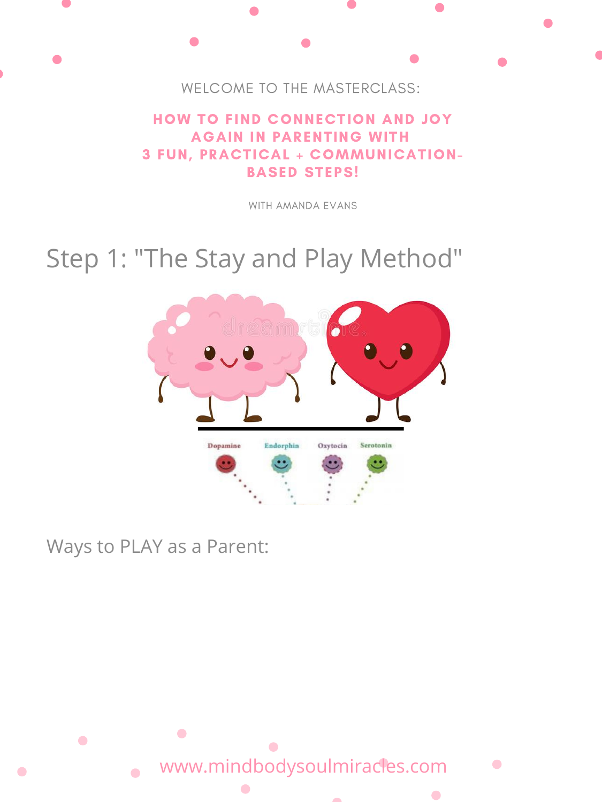

### HOW TO FIND CONNECTION AND JOY AGAIN IN PARENTING WITH 3 FUN, PRACTICAL + COMMUNICATION-BASED STEPS!

WITH AMANDA EVANS

## Step 1: "The Stay and Play Method"







### Ways to PLAY as a Parent:

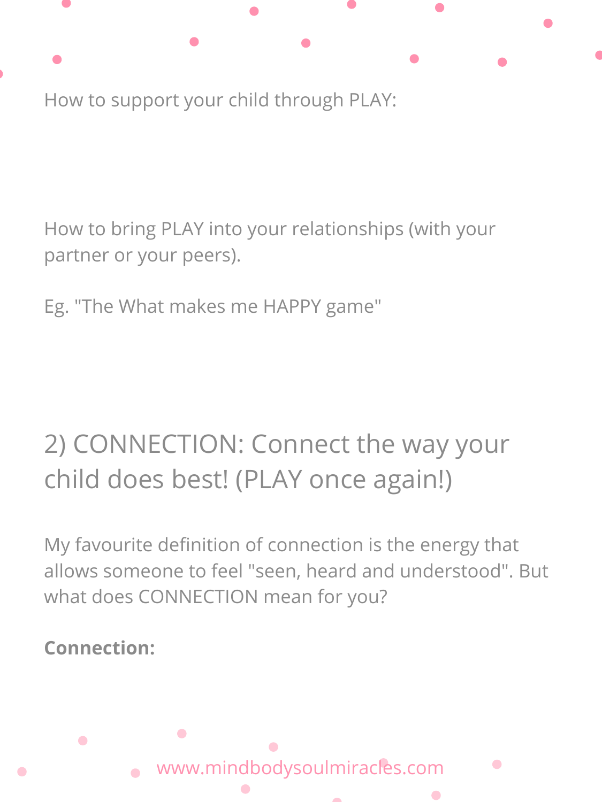

How to support your child through PLAY:

How to bring PLAY into your relationships (with your partner or your peers).

Eg. "The What makes me HAPPY game"

# 2) CONNECTION: Connect the way your child does best! (PLAY once again!)

My favourite definition of connection is the energy that allows someone to feel "seen, heard and understood" . But what does CONNECTION mean for you?

**Connection:**

 $\bullet$ 

 $\bullet$ 

www.mindbodysoulmiracles.com

 $\bullet$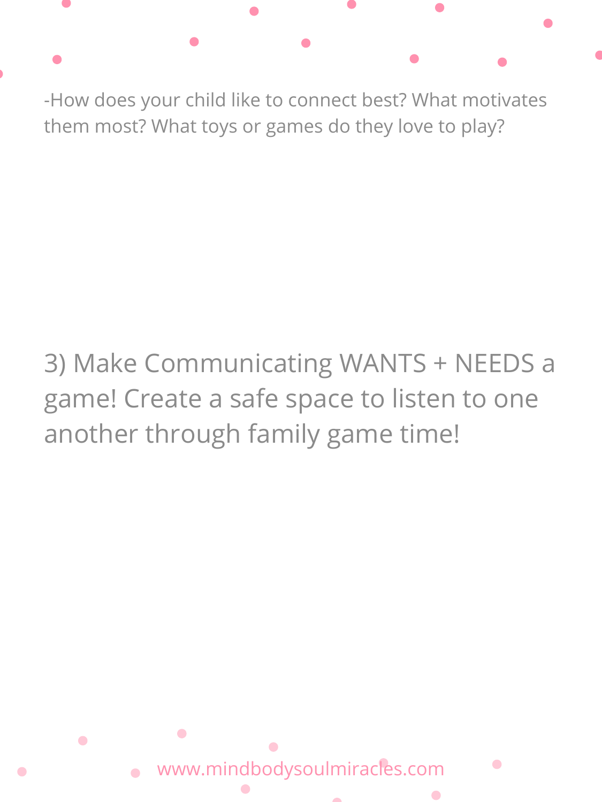-How does your child like to connect best? What motivates them most? What toys or games do they love to play?

# 3) Make Communicating WANTS + NEEDS a game! Create a safe space to listen to one

# another through family game time!

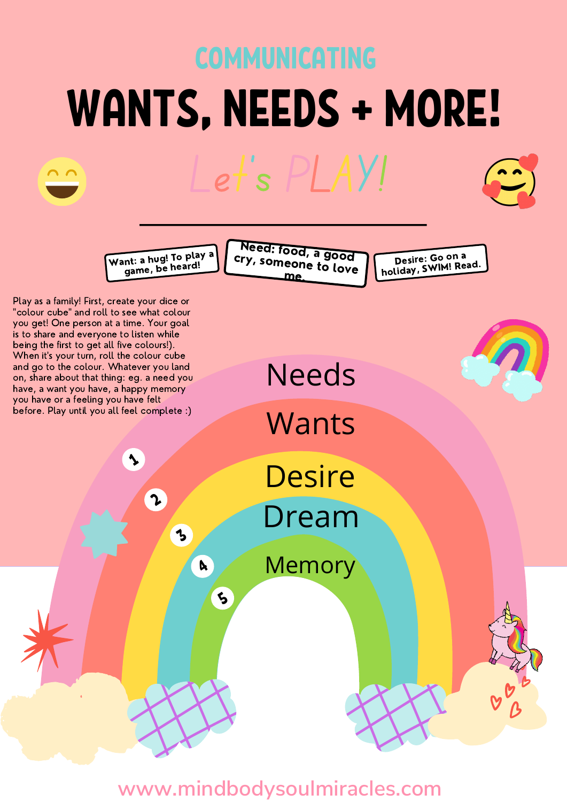## WANTS, NEEDS + MORE! COMMUNICATING Let' s PLAY!

Want: <sup>a</sup> hug! To <sup>p</sup>lay <sup>a</sup> game, be heard!

N ry e , e <sup>ed:</sup> food, a good<br>someone te l omeone to love me.

Desire: Go on <sup>a</sup> holiday, SWIM! Read.

Play as a family! First, create your dice or "colour cube" and roll to see what colour you get! One person at a time. Your goal is to share and everyone to listen while being the first to get all five colours!). When it's your turn, roll the colour cube and go to the colour. Whatever you land on, share about that thing: eg. a need you have, a want you have, a happy memory you have or a feeling you have felt before. Play until you all feel complete :)

 $\blacklozenge$ 

 $\boldsymbol{\lambda}$ 

3

**A** 

 $\zeta$ 

Dream **Desire** 

Needs

**Wants** 

**Memory** 

**www.mindbodysoulmiracles.com**